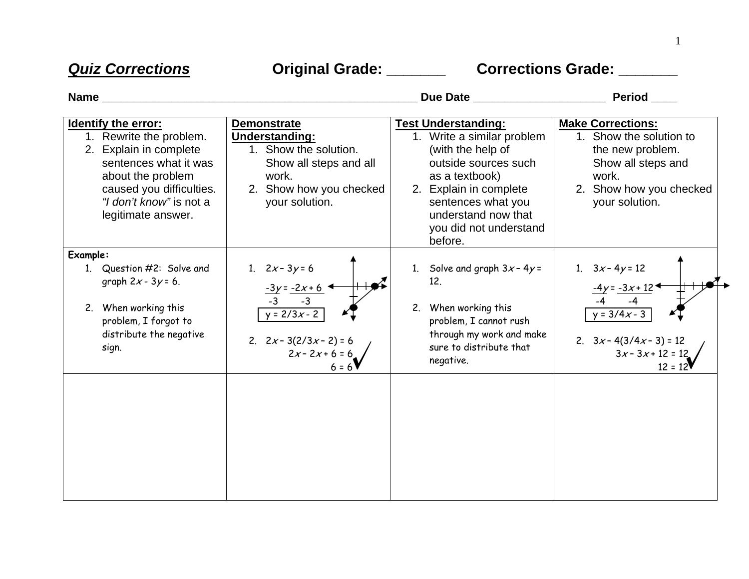*Quiz Corrections* **Original Grade: \_\_\_\_\_\_\_ Corrections Grade: \_\_\_\_\_\_\_** 

| <b>Name</b>                                                                                                                                                                                                |                                                                                                                                                      | Due Date                                                                                                                                                                                                                            | Period                                                                                                                                              |
|------------------------------------------------------------------------------------------------------------------------------------------------------------------------------------------------------------|------------------------------------------------------------------------------------------------------------------------------------------------------|-------------------------------------------------------------------------------------------------------------------------------------------------------------------------------------------------------------------------------------|-----------------------------------------------------------------------------------------------------------------------------------------------------|
| <b>Identify the error:</b><br>1. Rewrite the problem.<br>2. Explain in complete<br>sentences what it was<br>about the problem<br>caused you difficulties.<br>"I don't know" is not a<br>legitimate answer. | <b>Demonstrate</b><br><b>Understanding:</b><br>1. Show the solution.<br>Show all steps and all<br>work.<br>2. Show how you checked<br>your solution. | <b>Test Understanding:</b><br>1. Write a similar problem<br>(with the help of<br>outside sources such<br>as a textbook)<br>2. Explain in complete<br>sentences what you<br>understand now that<br>you did not understand<br>before. | <b>Make Corrections:</b><br>1. Show the solution to<br>the new problem.<br>Show all steps and<br>work.<br>2. Show how you checked<br>your solution. |
| Example:<br>Question #2: Solve and<br>graph $2x - 3y = 6$ .<br>When working this<br>2.<br>problem, I forgot to<br>distribute the negative<br>sign.                                                         | $2x - 3y = 6$<br>1.<br>$-3y = -2x + 6$<br>$-3$<br>$-3$<br>$y = 2/3x - 2$<br>2. $2x - 3(2/3x - 2) = 6$<br>$2x - 2x + 6 = 6$<br>$6 = 6$                | 1. Solve and graph $3x - 4y =$<br>12.<br>2. When working this<br>problem, I cannot rush<br>through my work and make<br>sure to distribute that<br>negative.                                                                         | 1. $3x - 4y = 12$<br>$-4y = -3x + 12$<br>$y = 3/4x - 3$<br>2. $3x - 4(3/4x - 3) = 12$<br>$3x - 3x + 12 = 12$<br>$12 = 12$                           |

1